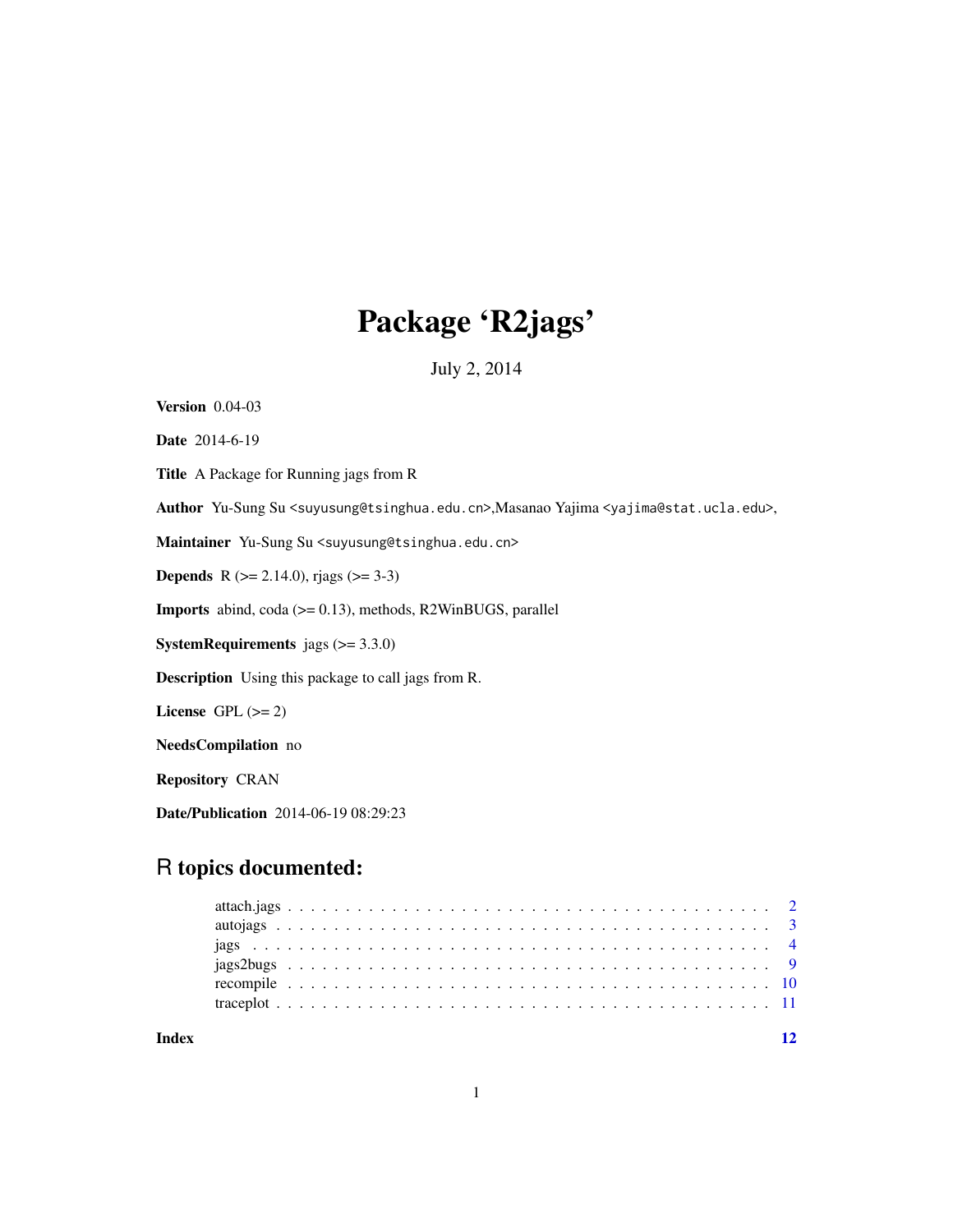# Package 'R2jags'

July 2, 2014

<span id="page-0-0"></span>Version 0.04-03 Date 2014-6-19 Title A Package for Running jags from R Author Yu-Sung Su <suyusung@tsinghua.edu.cn>,Masanao Yajima <yajima@stat.ucla.edu>, Maintainer Yu-Sung Su <suyusung@tsinghua.edu.cn> **Depends** R ( $>= 2.14.0$ ), rjags ( $>= 3-3$ ) Imports abind, coda (>= 0.13), methods, R2WinBUGS, parallel **SystemRequirements** jags  $(>= 3.3.0)$ Description Using this package to call jags from R. License GPL  $(>= 2)$ NeedsCompilation no Repository CRAN Date/Publication 2014-06-19 08:29:23

# R topics documented:

1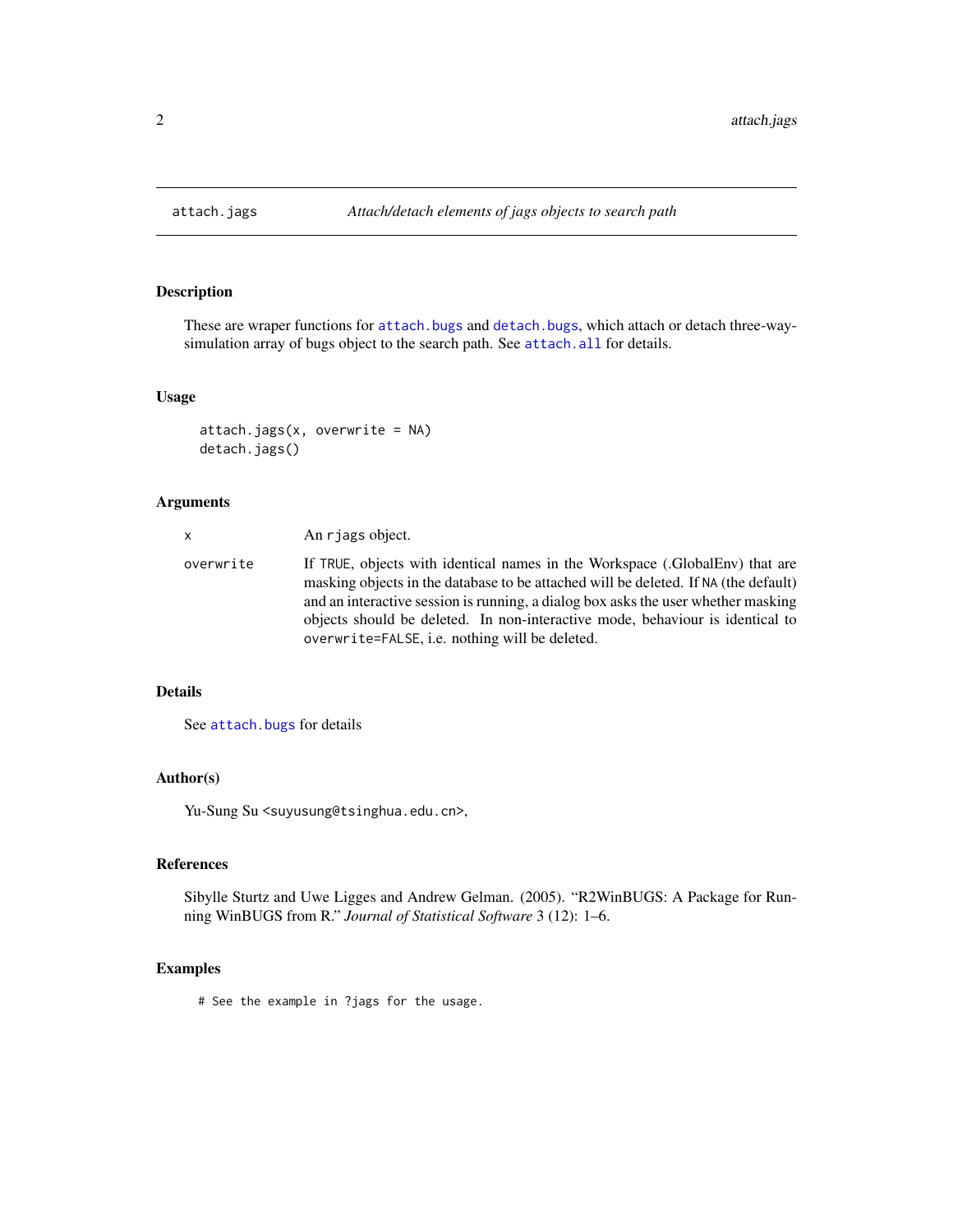<span id="page-1-0"></span>

### Description

These are wraper functions for [attach.bugs](#page-0-0) and [detach.bugs](#page-0-0), which attach or detach three-waysimulation array of bugs object to the search path. See [attach.all](#page-0-0) for details.

#### Usage

```
attach.jags(x, overwrite = NA)
detach.jags()
```
# Arguments

| X         | An rjags object.                                                                                                                                                                                                                                                                                                                                                                            |
|-----------|---------------------------------------------------------------------------------------------------------------------------------------------------------------------------------------------------------------------------------------------------------------------------------------------------------------------------------------------------------------------------------------------|
| overwrite | If TRUE, objects with identical names in the Workspace (.GlobalEnv) that are<br>masking objects in the database to be attached will be deleted. If NA (the default)<br>and an interactive session is running, a dialog box asks the user whether masking<br>objects should be deleted. In non-interactive mode, behaviour is identical to<br>overwrite=FALSE, i.e. nothing will be deleted. |

# Details

See [attach.bugs](#page-0-0) for details

# Author(s)

Yu-Sung Su <suyusung@tsinghua.edu.cn>,

# References

Sibylle Sturtz and Uwe Ligges and Andrew Gelman. (2005). "R2WinBUGS: A Package for Running WinBUGS from R." *Journal of Statistical Software* 3 (12): 1–6.

# Examples

# See the example in ?jags for the usage.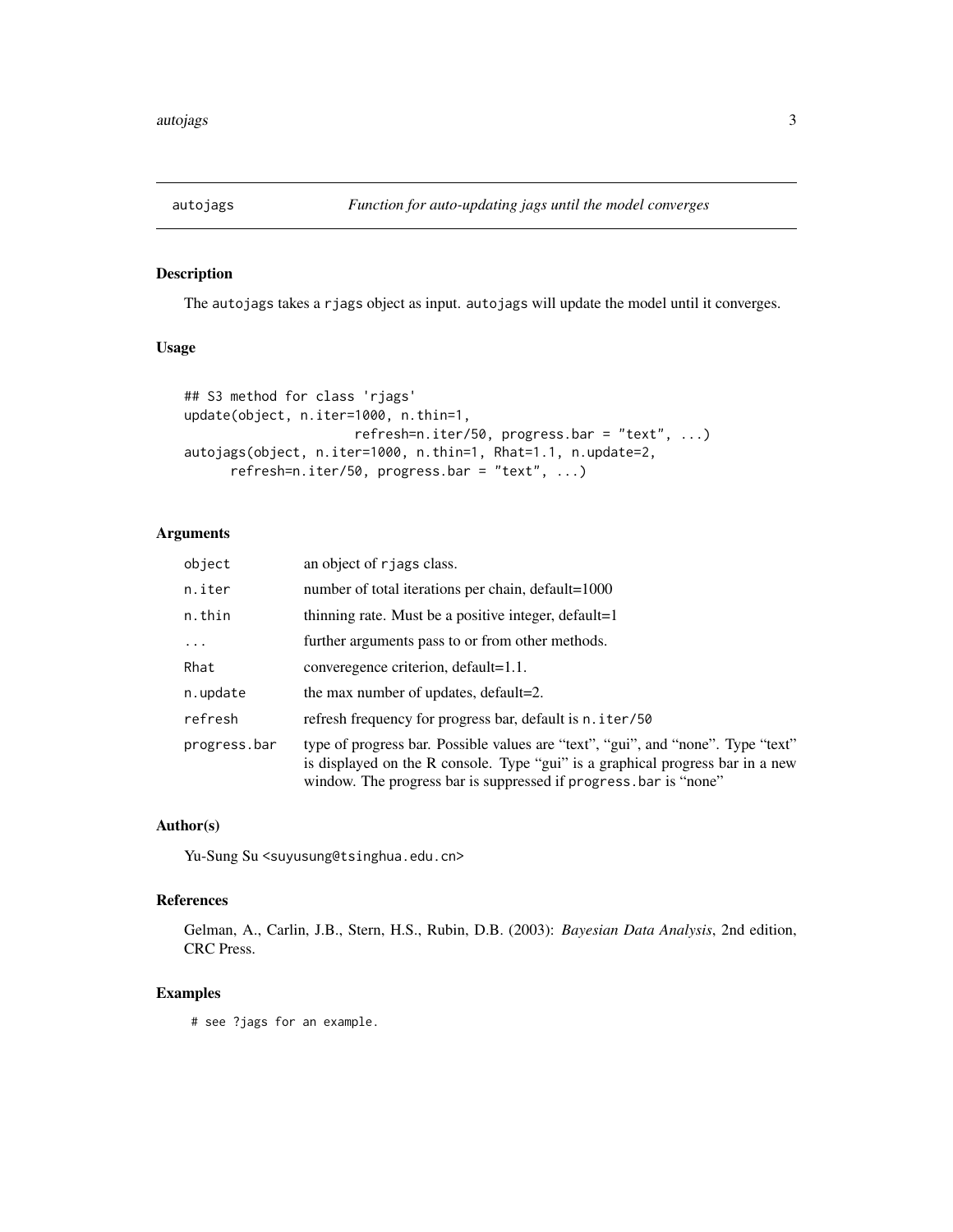<span id="page-2-0"></span>

# Description

The autojags takes a rjags object as input. autojags will update the model until it converges.

#### Usage

```
## S3 method for class 'rjags'
update(object, n.iter=1000, n.thin=1,
                      refresh=n.iter/50, progress.bar = "text", ...)
autojags(object, n.iter=1000, n.thin=1, Rhat=1.1, n.update=2,
      refresh=n.iter/50, progress.bar = "text", ...)
```
#### Arguments

| object       | an object of rjags class.                                                                                                                                                                                                              |
|--------------|----------------------------------------------------------------------------------------------------------------------------------------------------------------------------------------------------------------------------------------|
| n.iter       | number of total iterations per chain, default=1000                                                                                                                                                                                     |
| n.thin       | thinning rate. Must be a positive integer, default=1                                                                                                                                                                                   |
|              | further arguments pass to or from other methods.                                                                                                                                                                                       |
| Rhat         | converegence criterion, default=1.1.                                                                                                                                                                                                   |
| n.update     | the max number of updates, default=2.                                                                                                                                                                                                  |
| refresh      | refresh frequency for progress bar, default is n. iter/50                                                                                                                                                                              |
| progress.bar | type of progress bar. Possible values are "text", "gui", and "none". Type "text"<br>is displayed on the R console. Type "gui" is a graphical progress bar in a new<br>window. The progress bar is suppressed if progress bar is "none" |

#### Author(s)

Yu-Sung Su <suyusung@tsinghua.edu.cn>

# References

Gelman, A., Carlin, J.B., Stern, H.S., Rubin, D.B. (2003): *Bayesian Data Analysis*, 2nd edition, CRC Press.

# Examples

# see ?jags for an example.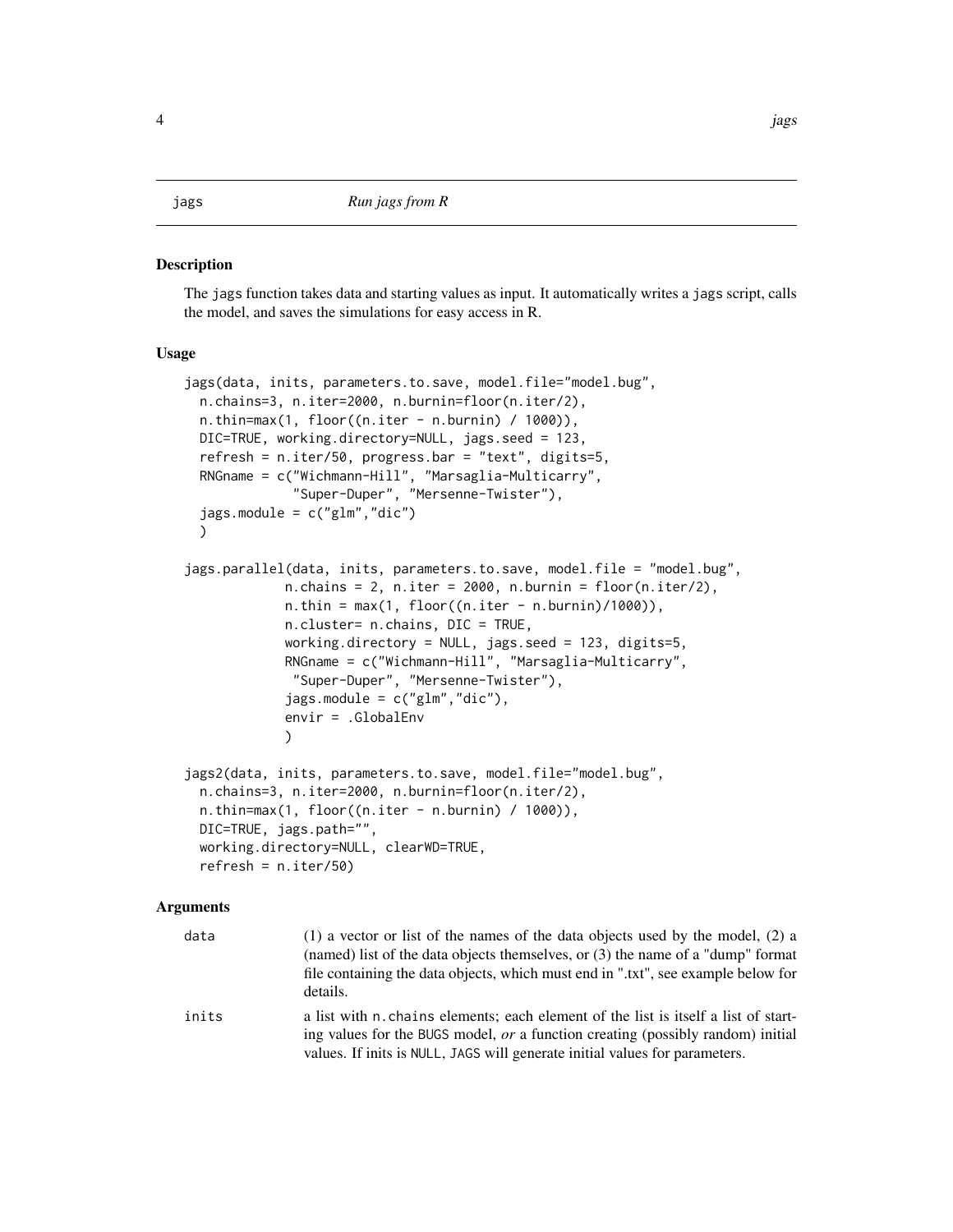<span id="page-3-0"></span>jags *Run jags from R*

#### Description

The jags function takes data and starting values as input. It automatically writes a jags script, calls the model, and saves the simulations for easy access in R.

#### Usage

```
jags(data, inits, parameters.to.save, model.file="model.bug",
 n.chains=3, n.iter=2000, n.burnin=floor(n.iter/2),
 n.thin=max(1, floor((n.iter - n.burnin) / 1000)),DIC=TRUE, working.directory=NULL, jags.seed = 123,
 refresh = n.iter/50, progress.bar = "text", digits=5,
 RNGname = c("Wichmann-Hill", "Marsaglia-Multicarry",
              "Super-Duper", "Mersenne-Twister"),
 jags.module = c("glm", "dic"))
jags.parallel(data, inits, parameters.to.save, model.file = "model.bug",
            n.chains = 2, n.iter = 2000, n.burnin = floor(n.iter/2),
            n.thin = max(1, floor((n.iter - n.burnin)/1000)),n.cluster= n.chains, DIC = TRUE,
            working.directory = NULL, jags.seed = 123, digits=5,
            RNGname = c("Wichmann-Hill", "Marsaglia-Multicarry",
             "Super-Duper", "Mersenne-Twister"),
             jags.module = c("glm", "dic"),envir = .GlobalEnv
            )
jags2(data, inits, parameters.to.save, model.file="model.bug",
 n.chains=3, n.iter=2000, n.burnin=floor(n.iter/2),
 n.thin=max(1, floor((n.iter - n.burnin) / 1000)),
 DIC=TRUE, jags.path="",
 working.directory=NULL, clearWD=TRUE,
 refresh = n.iter/50)
```
#### Arguments

| data  | $(1)$ a vector or list of the names of the data objects used by the model, $(2)$ a<br>(named) list of the data objects themselves, or (3) the name of a "dump" format<br>file containing the data objects, which must end in ".txt", see example below for<br>details. |
|-------|------------------------------------------------------------------------------------------------------------------------------------------------------------------------------------------------------------------------------------------------------------------------|
| inits | a list with n, chains elements; each element of the list is itself a list of start-<br>ing values for the BUGS model, <i>or</i> a function creating (possibly random) initial<br>values. If inits is NULL, JAGS will generate initial values for parameters.           |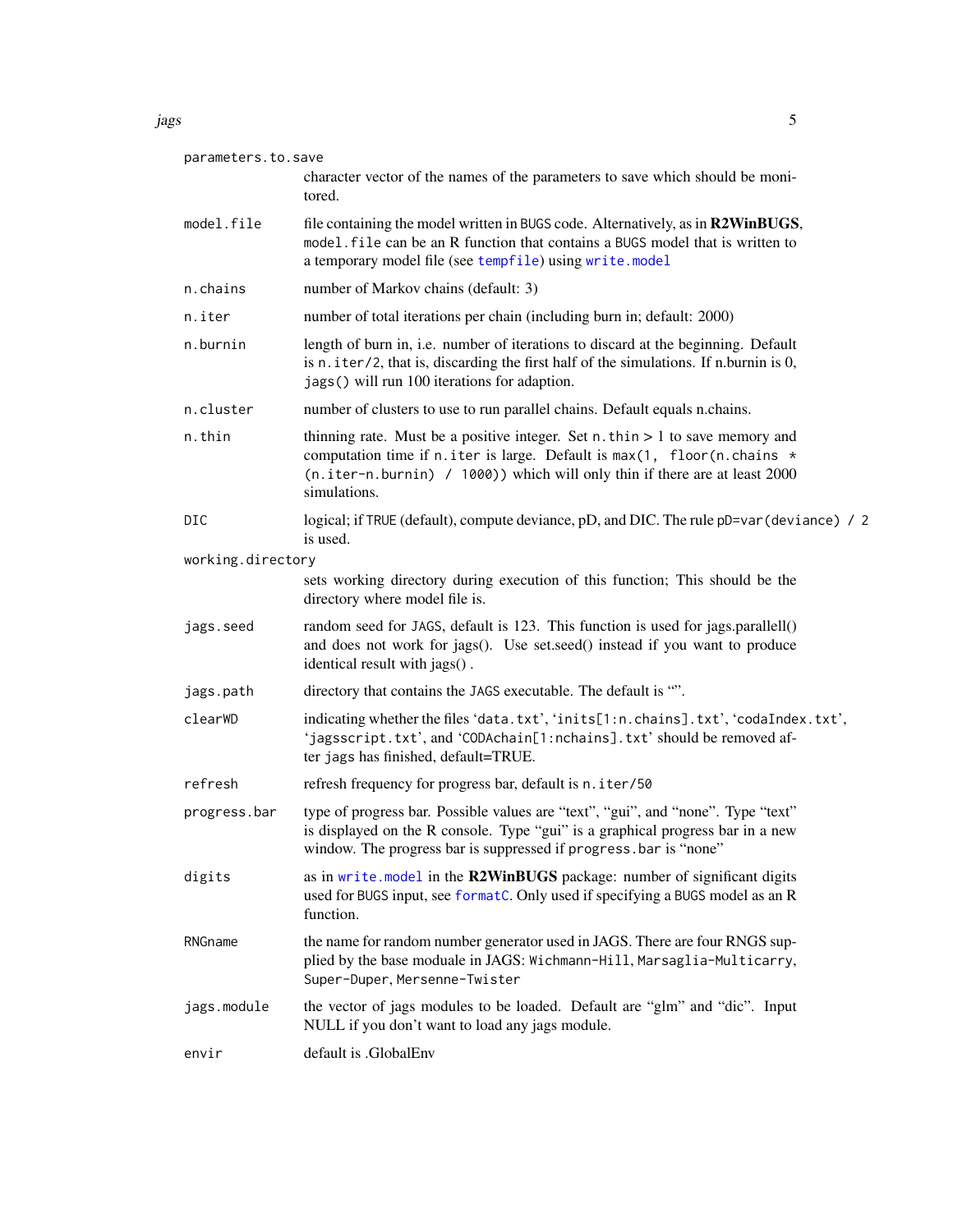<span id="page-4-0"></span>

| parameters.to.save |                                                                                                                                                                                                                                                             |
|--------------------|-------------------------------------------------------------------------------------------------------------------------------------------------------------------------------------------------------------------------------------------------------------|
|                    | character vector of the names of the parameters to save which should be moni-<br>tored.                                                                                                                                                                     |
| model.file         | file containing the model written in BUGS code. Alternatively, as in R2WinBUGS,<br>model, file can be an R function that contains a BUGS model that is written to<br>a temporary model file (see tempfile) using write.model                                |
| n.chains           | number of Markov chains (default: 3)                                                                                                                                                                                                                        |
| n.iter             | number of total iterations per chain (including burn in; default: 2000)                                                                                                                                                                                     |
| n.burnin           | length of burn in, i.e. number of iterations to discard at the beginning. Default<br>is n. iter/2, that is, discarding the first half of the simulations. If n.burnin is 0,<br>jags() will run 100 iterations for adaption.                                 |
| n.cluster          | number of clusters to use to run parallel chains. Default equals n.chains.                                                                                                                                                                                  |
| n.thin             | thinning rate. Must be a positive integer. Set $n$ . thin $> 1$ to save memory and<br>computation time if n.iter is large. Default is max(1, floor(n.chains *<br>(n.iter-n.burnin) / 1000)) which will only thin if there are at least 2000<br>simulations. |
| DIC                | logical; if TRUE (default), compute deviance, pD, and DIC. The rule pD=var (deviance) / 2<br>is used.                                                                                                                                                       |
| working.directory  |                                                                                                                                                                                                                                                             |
|                    | sets working directory during execution of this function; This should be the<br>directory where model file is.                                                                                                                                              |
| jags.seed          | random seed for JAGS, default is 123. This function is used for jags.parallell()<br>and does not work for jags(). Use set.seed() instead if you want to produce<br>identical result with jags().                                                            |
| jags.path          | directory that contains the JAGS executable. The default is "".                                                                                                                                                                                             |
| clearWD            | indicating whether the files 'data.txt', 'inits[1:n.chains].txt', 'codaIndex.txt',<br>'jagsscript.txt', and 'CODAchain[1:nchains].txt' should be removed af-<br>ter jags has finished, default=TRUE.                                                        |
| refresh            | refresh frequency for progress bar, default is n. iter/50                                                                                                                                                                                                   |
| progress.bar       | type of progress bar. Possible values are "text", "gui", and "none". Type "text"<br>is displayed on the R console. Type "gui" is a graphical progress bar in a new<br>window. The progress bar is suppressed if progress bar is "none"                      |
| digits             | as in write. model in the R2WinBUGS package: number of significant digits<br>used for BUGS input, see formatC. Only used if specifying a BUGS model as an R<br>function.                                                                                    |
| RNGname            | the name for random number generator used in JAGS. There are four RNGS sup-<br>plied by the base moduale in JAGS: Wichmann-Hill, Marsaglia-Multicarry,<br>Super-Duper, Mersenne-Twister                                                                     |
| jags.module        | the vector of jags modules to be loaded. Default are "glm" and "dic". Input<br>NULL if you don't want to load any jags module.                                                                                                                              |
| envir              | default is .GlobalEnv                                                                                                                                                                                                                                       |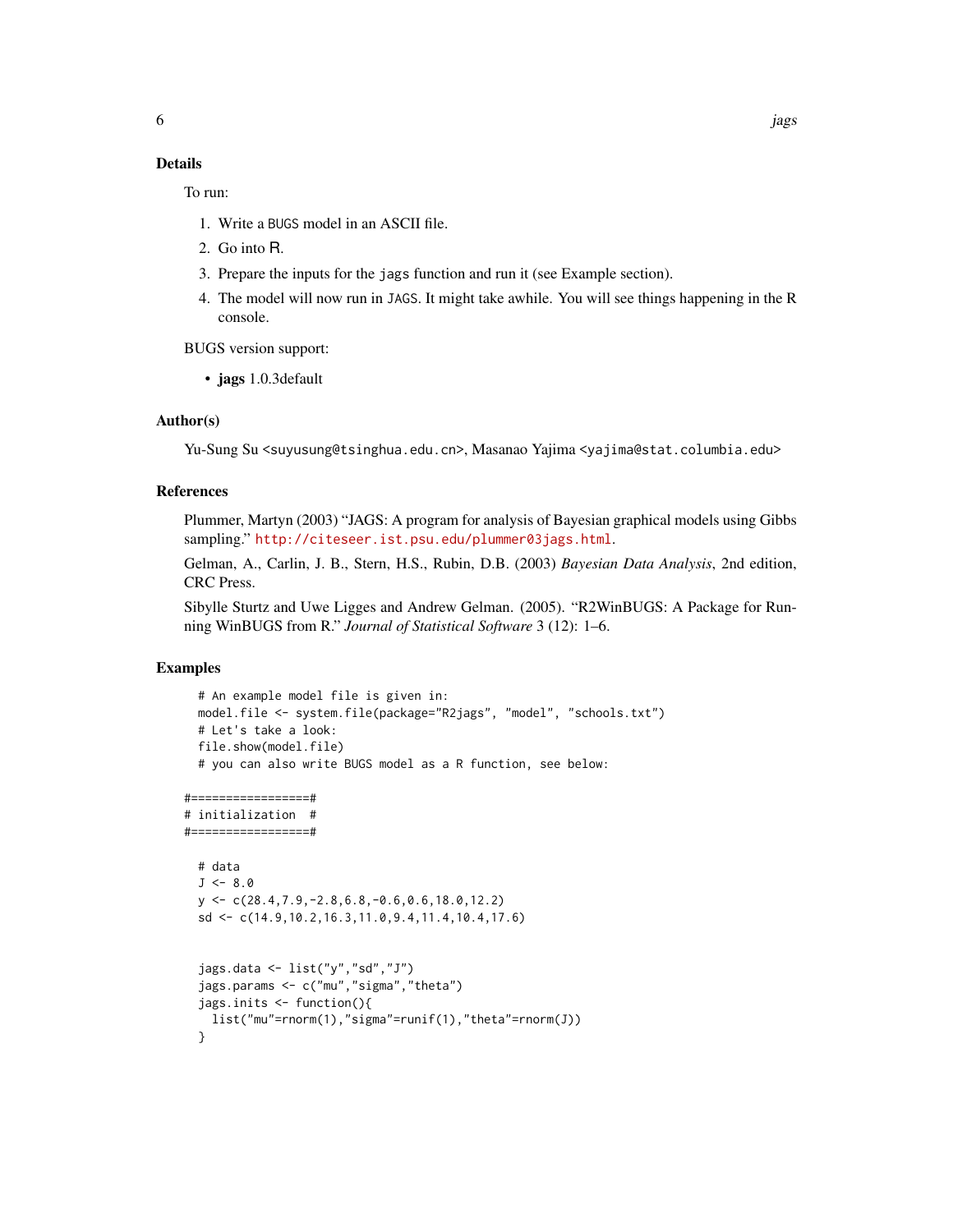To run:

- 1. Write a BUGS model in an ASCII file.
- 2. Go into R.
- 3. Prepare the inputs for the jags function and run it (see Example section).
- 4. The model will now run in JAGS. It might take awhile. You will see things happening in the R console.

BUGS version support:

• jags 1.0.3default

### Author(s)

Yu-Sung Su <suyusung@tsinghua.edu.cn>, Masanao Yajima <yajima@stat.columbia.edu>

#### References

Plummer, Martyn (2003) "JAGS: A program for analysis of Bayesian graphical models using Gibbs sampling." <http://citeseer.ist.psu.edu/plummer03jags.html>.

Gelman, A., Carlin, J. B., Stern, H.S., Rubin, D.B. (2003) *Bayesian Data Analysis*, 2nd edition, CRC Press.

Sibylle Sturtz and Uwe Ligges and Andrew Gelman. (2005). "R2WinBUGS: A Package for Running WinBUGS from R." *Journal of Statistical Software* 3 (12): 1–6.

# Examples

```
# An example model file is given in:
 model.file <- system.file(package="R2jags", "model", "schools.txt")
 # Let's take a look:
 file.show(model.file)
 # you can also write BUGS model as a R function, see below:
#=================#
# initialization #
#=================#
 # data
 J \le -8.0y <- c(28.4,7.9,-2.8,6.8,-0.6,0.6,18.0,12.2)
 sd <- c(14.9,10.2,16.3,11.0,9.4,11.4,10.4,17.6)
 jags.data <- list("y","sd","J")
 jags.params <- c("mu","sigma","theta")
 jags.inits <- function(){
   list("mu"=rnorm(1),"sigma"=runif(1),"theta"=rnorm(J))
 }
```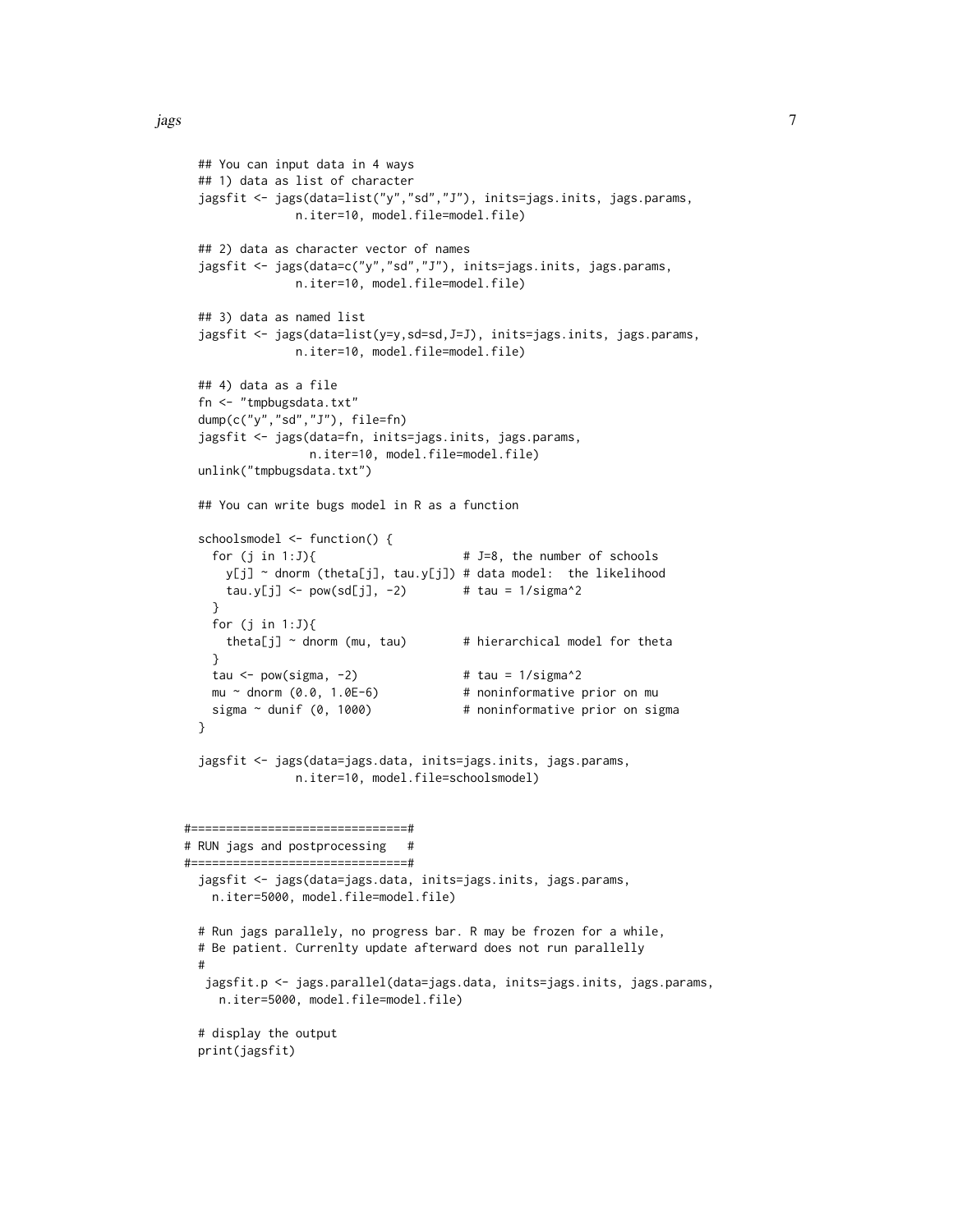```
## You can input data in 4 ways
 ## 1) data as list of character
 jagsfit <- jags(data=list("y","sd","J"), inits=jags.inits, jags.params,
               n.iter=10, model.file=model.file)
 ## 2) data as character vector of names
 jagsfit <- jags(data=c("y","sd","J"), inits=jags.inits, jags.params,
               n.iter=10, model.file=model.file)
 ## 3) data as named list
 jagsfit <- jags(data=list(y=y,sd=sd,J=J), inits=jags.inits, jags.params,
               n.iter=10, model.file=model.file)
 ## 4) data as a file
 fn <- "tmpbugsdata.txt"
 dump(c("y","sd","J"), file=fn)
 jagsfit <- jags(data=fn, inits=jags.inits, jags.params,
                 n.iter=10, model.file=model.file)
 unlink("tmpbugsdata.txt")
 ## You can write bugs model in R as a function
 schoolsmodel <- function() {
   for (j in 1:J){ # J=8, the number of schools
     y[j] ~ dnorm (theta[j], tau.y[j]) # data model: the likelihood
     tau.y[j] \leftarrow pow(sd[j], -2) # tau = 1/sigma^2
   }
   for (j in 1:J){
     theta[j] \sim dnorm (mu, tau) \qquad # hierarchical model for theta
   }
   tau \le pow(sigma, -2) \qquad # tau = 1/sigma^2
   mu ~ dnorm (0.0, 1.0E-6) # noninformative prior on mu
   sigma ~ dunif (0, 1000) # noninformative prior on sigma
 }
 jagsfit <- jags(data=jags.data, inits=jags.inits, jags.params,
               n.iter=10, model.file=schoolsmodel)
#===============================#
# RUN jags and postprocessing #
#===============================#
 jagsfit <- jags(data=jags.data, inits=jags.inits, jags.params,
   n.iter=5000, model.file=model.file)
 # Run jags parallely, no progress bar. R may be frozen for a while,
 # Be patient. Currenlty update afterward does not run parallelly
 #
  jagsfit.p <- jags.parallel(data=jags.data, inits=jags.inits, jags.params,
    n.iter=5000, model.file=model.file)
 # display the output
 print(jagsfit)
```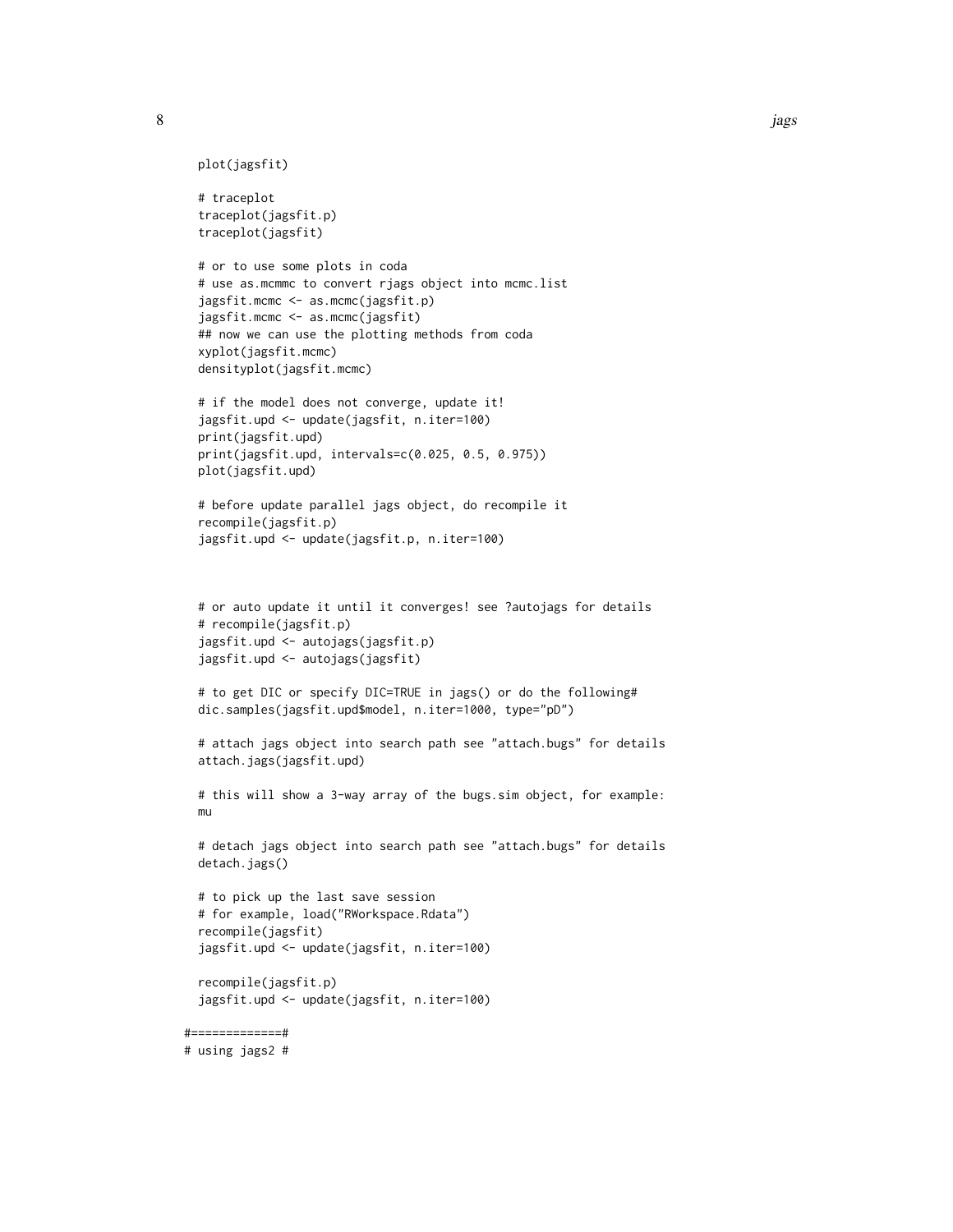8 jags om de eerste kommen van de gebouwer in de groot gebouwer in de groot gebouwer in de groot gebouwer in de

```
plot(jagsfit)
```

```
# traceplot
traceplot(jagsfit.p)
traceplot(jagsfit)
```

```
# or to use some plots in coda
# use as.mcmmc to convert rjags object into mcmc.list
jagsfit.mcmc <- as.mcmc(jagsfit.p)
jagsfit.mcmc <- as.mcmc(jagsfit)
## now we can use the plotting methods from coda
xyplot(jagsfit.mcmc)
densityplot(jagsfit.mcmc)
```

```
# if the model does not converge, update it!
jagsfit.upd <- update(jagsfit, n.iter=100)
print(jagsfit.upd)
print(jagsfit.upd, intervals=c(0.025, 0.5, 0.975))
plot(jagsfit.upd)
```

```
# before update parallel jags object, do recompile it
recompile(jagsfit.p)
jagsfit.upd <- update(jagsfit.p, n.iter=100)
```

```
# or auto update it until it converges! see ?autojags for details
# recompile(jagsfit.p)
jagsfit.upd <- autojags(jagsfit.p)
jagsfit.upd <- autojags(jagsfit)
```

```
# to get DIC or specify DIC=TRUE in jags() or do the following#
dic.samples(jagsfit.upd$model, n.iter=1000, type="pD")
```

```
# attach jags object into search path see "attach.bugs" for details
attach.jags(jagsfit.upd)
```

```
# this will show a 3-way array of the bugs.sim object, for example:
mu
```

```
# detach jags object into search path see "attach.bugs" for details
detach.jags()
```

```
# to pick up the last save session
# for example, load("RWorkspace.Rdata")
recompile(jagsfit)
jagsfit.upd <- update(jagsfit, n.iter=100)
```

```
recompile(jagsfit.p)
jagsfit.upd <- update(jagsfit, n.iter=100)
```
#=============#

```
# using jags2 #
```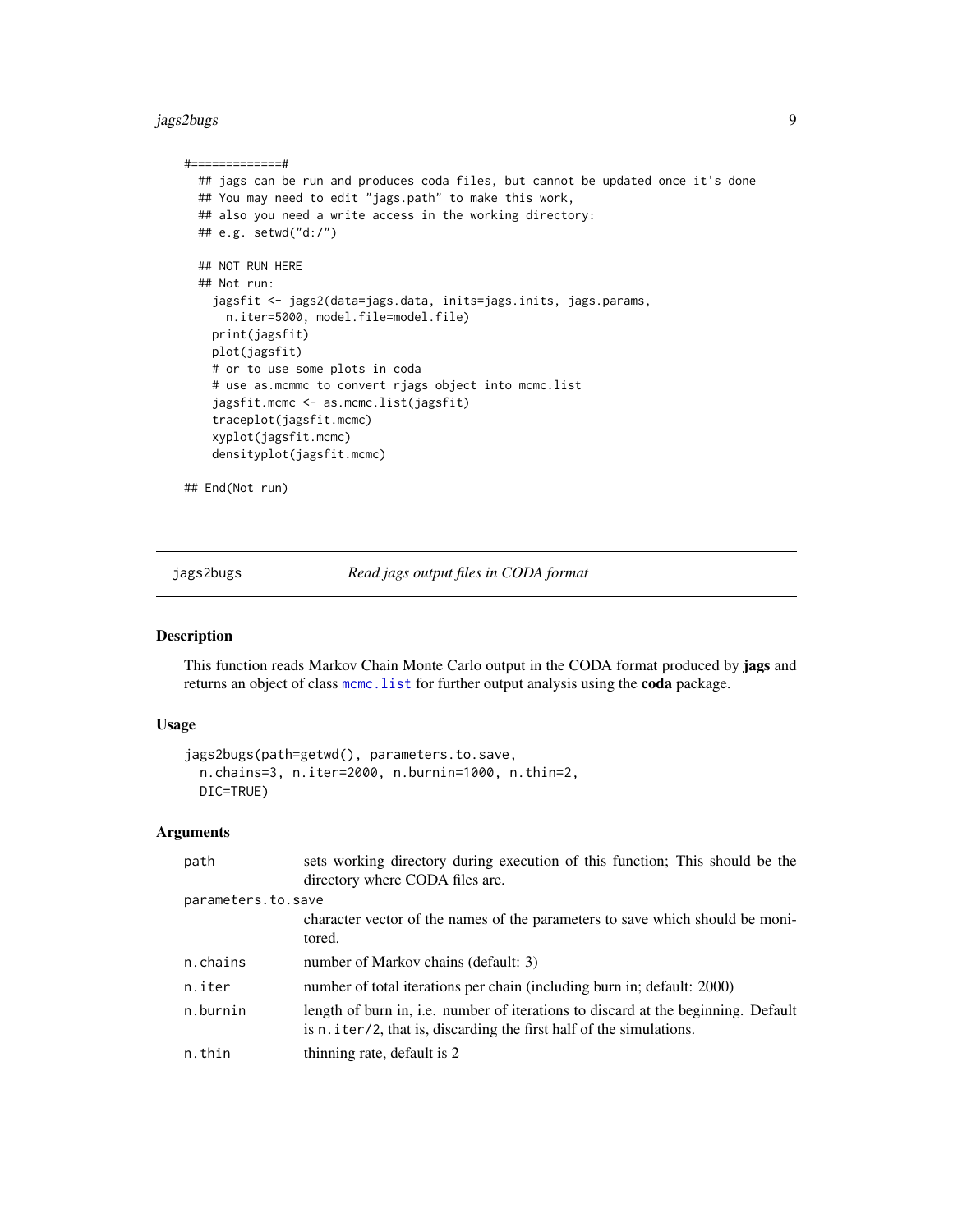#### <span id="page-8-0"></span>jags2bugs 9

```
#=============#
 ## jags can be run and produces coda files, but cannot be updated once it's done
 ## You may need to edit "jags.path" to make this work,
 ## also you need a write access in the working directory:
 ## e.g. setwd("d:/")
 ## NOT RUN HERE
 ## Not run:
   jagsfit <- jags2(data=jags.data, inits=jags.inits, jags.params,
     n.iter=5000, model.file=model.file)
   print(jagsfit)
   plot(jagsfit)
   # or to use some plots in coda
    # use as.mcmmc to convert rjags object into mcmc.list
    jagsfit.mcmc <- as.mcmc.list(jagsfit)
    traceplot(jagsfit.mcmc)
   xyplot(jagsfit.mcmc)
   densityplot(jagsfit.mcmc)
```
## End(Not run)

jags2bugs *Read jags output files in CODA format*

#### Description

This function reads Markov Chain Monte Carlo output in the CODA format produced by jags and returns an object of class [mcmc.list](#page-0-0) for further output analysis using the coda package.

# Usage

```
jags2bugs(path=getwd(), parameters.to.save,
 n.chains=3, n.iter=2000, n.burnin=1000, n.thin=2,
 DIC=TRUE)
```
#### Arguments

| path               | sets working directory during execution of this function; This should be the                                                                              |
|--------------------|-----------------------------------------------------------------------------------------------------------------------------------------------------------|
|                    | directory where CODA files are.                                                                                                                           |
| parameters.to.save |                                                                                                                                                           |
|                    | character vector of the names of the parameters to save which should be moni-<br>tored.                                                                   |
| n.chains           | number of Markov chains (default: 3)                                                                                                                      |
| n.iter             | number of total iterations per chain (including burn in; default: 2000)                                                                                   |
| n.burnin           | length of burn in, i.e. number of iterations to discard at the beginning. Default<br>is n. iter/2, that is, discarding the first half of the simulations. |
| n.thin             | thinning rate, default is 2                                                                                                                               |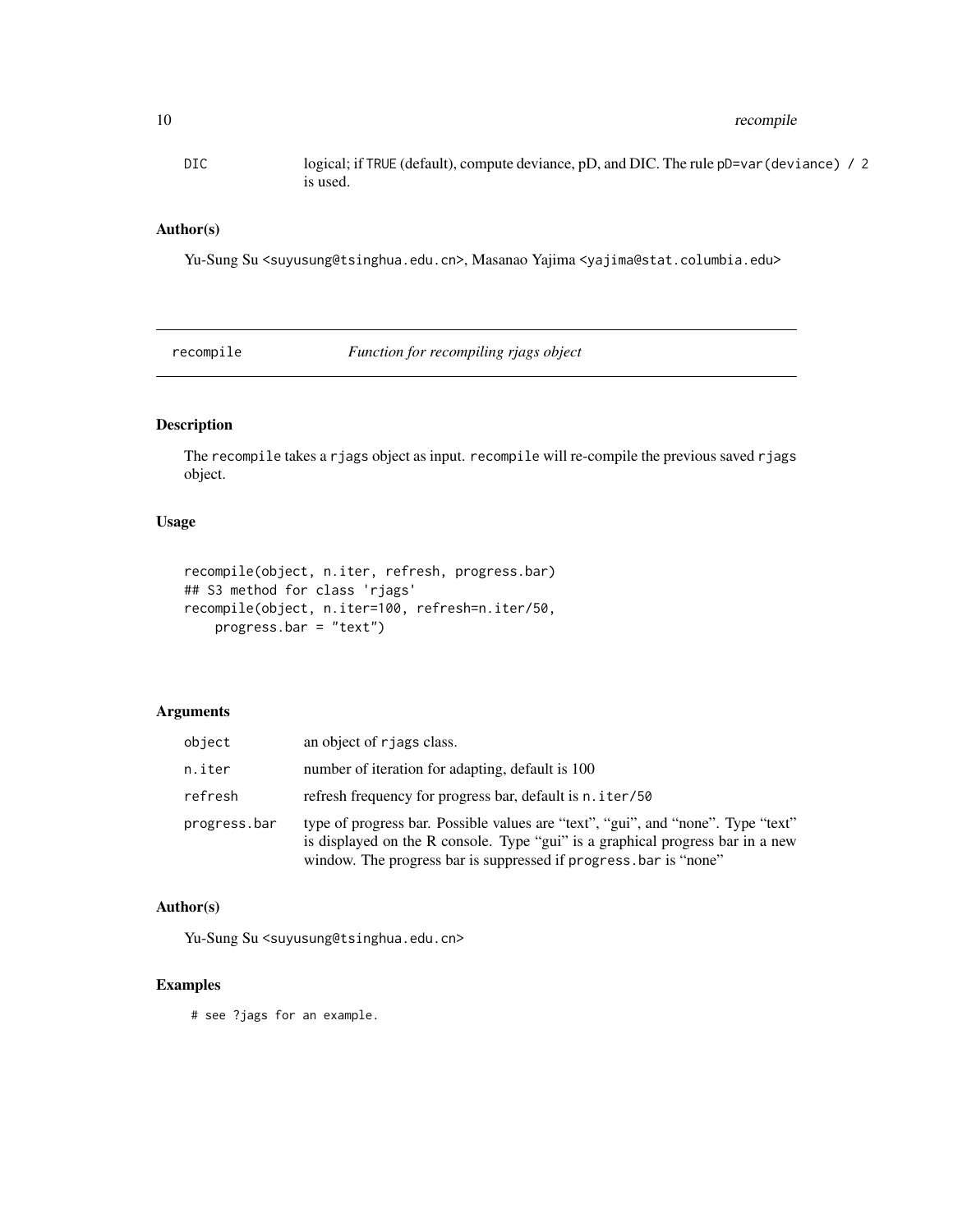<span id="page-9-0"></span>DIC logical; if TRUE (default), compute deviance, pD, and DIC. The rule pD=var(deviance) / 2 is used.

#### Author(s)

Yu-Sung Su <suyusung@tsinghua.edu.cn>, Masanao Yajima <yajima@stat.columbia.edu>

recompile *Function for recompiling rjags object*

# Description

The recompile takes a rjags object as input. recompile will re-compile the previous saved rjags object.

# Usage

```
recompile(object, n.iter, refresh, progress.bar)
## S3 method for class 'rjags'
recompile(object, n.iter=100, refresh=n.iter/50,
   progress.bar = "text")
```
# Arguments

| object       | an object of rjags class.                                                                                                                                                                                                               |
|--------------|-----------------------------------------------------------------------------------------------------------------------------------------------------------------------------------------------------------------------------------------|
| n.iter       | number of iteration for adapting, default is 100                                                                                                                                                                                        |
| refresh      | refresh frequency for progress bar, default is n. iter/50                                                                                                                                                                               |
| progress.bar | type of progress bar. Possible values are "text", "gui", and "none". Type "text"<br>is displayed on the R console. Type "gui" is a graphical progress bar in a new<br>window. The progress bar is suppressed if progress, bar is "none" |

# Author(s)

Yu-Sung Su <suyusung@tsinghua.edu.cn>

# Examples

# see ?jags for an example.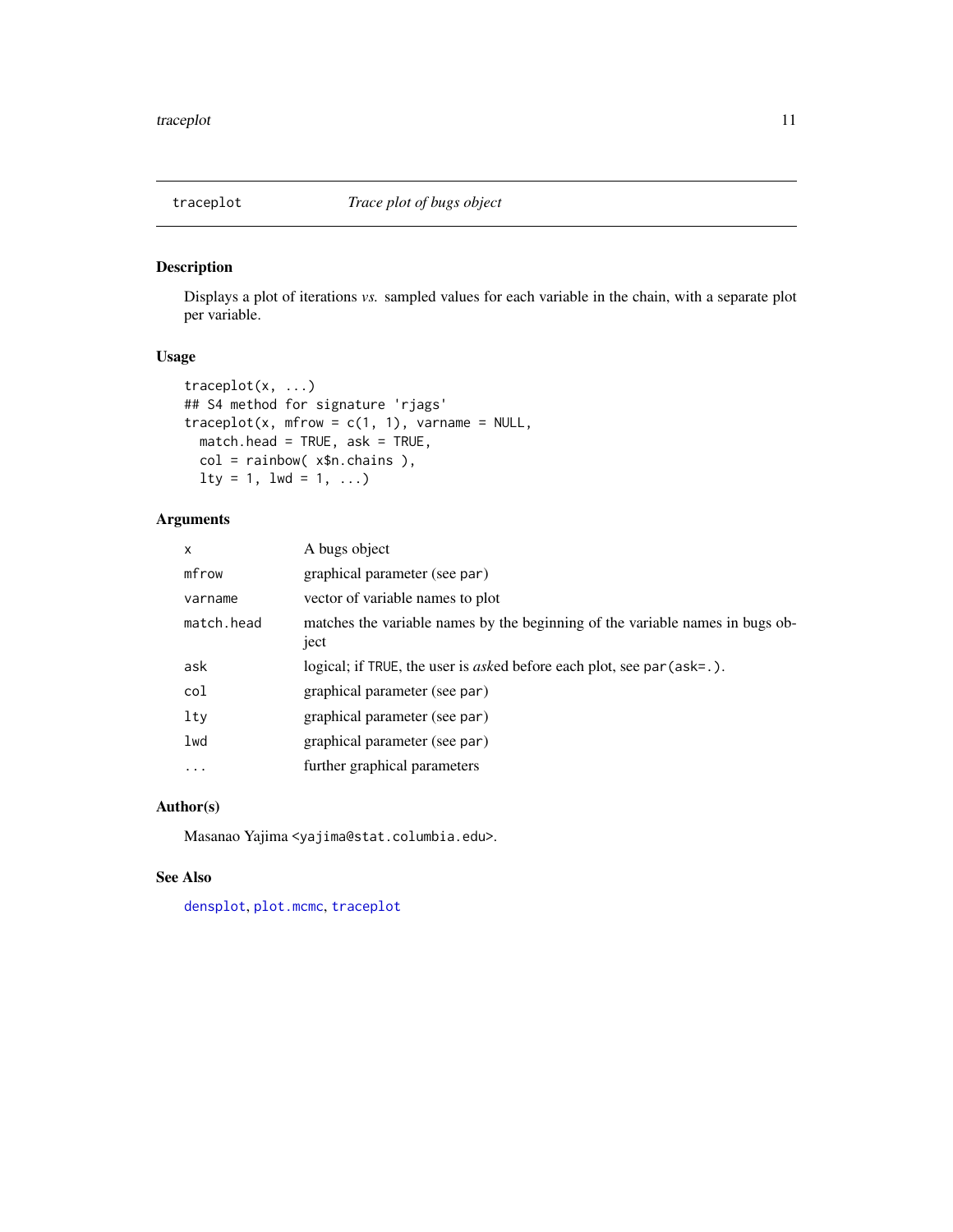<span id="page-10-1"></span><span id="page-10-0"></span>

# Description

Displays a plot of iterations *vs.* sampled values for each variable in the chain, with a separate plot per variable.

#### Usage

```
traceplot(x, ...)
## S4 method for signature 'rjags'
traceplot(x, mfrow = c(1, 1), varname = NULL,
 match.head = TRUE, ask = TRUE,
 col = rainbow( x$n.chains ),
 lty = 1, lwd = 1, ...
```
# Arguments

| x          | A bugs object                                                                         |
|------------|---------------------------------------------------------------------------------------|
| mfrow      | graphical parameter (see par)                                                         |
| varname    | vector of variable names to plot                                                      |
| match.head | matches the variable names by the beginning of the variable names in bugs ob-<br>ject |
| ask        | logical; if TRUE, the user is <i>asked</i> before each plot, see par (ask=.).         |
| col        | graphical parameter (see par)                                                         |
| lty        | graphical parameter (see par)                                                         |
| lwd        | graphical parameter (see par)                                                         |
| $\ddots$   | further graphical parameters                                                          |
|            |                                                                                       |

# Author(s)

Masanao Yajima <yajima@stat.columbia.edu>.

#### See Also

[densplot](#page-0-0), [plot.mcmc](#page-0-0), [traceplot](#page-10-1)